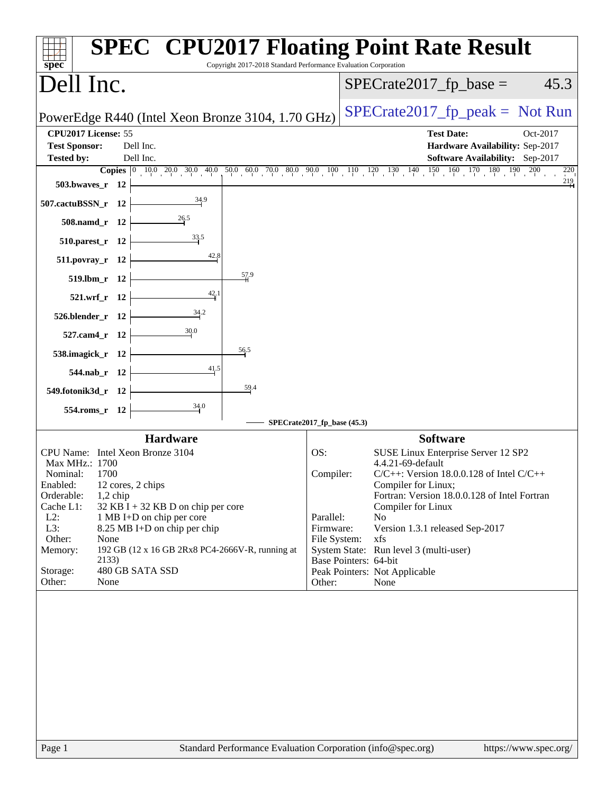| spec <sup>®</sup>                                                |                                                          | Copyright 2017-2018 Standard Performance Evaluation Corporation |                             | <b>SPEC<sup>®</sup> CPU2017 Floating Point Rate Result</b>                                                                                                      |          |
|------------------------------------------------------------------|----------------------------------------------------------|-----------------------------------------------------------------|-----------------------------|-----------------------------------------------------------------------------------------------------------------------------------------------------------------|----------|
| Dell Inc.                                                        |                                                          |                                                                 |                             | $SPECrate2017_fp\_base =$                                                                                                                                       | 45.3     |
|                                                                  | PowerEdge R440 (Intel Xeon Bronze 3104, 1.70 GHz)        |                                                                 |                             | $SPECTate2017$ _fp_peak = Not Run                                                                                                                               |          |
| CPU2017 License: 55<br><b>Test Sponsor:</b><br><b>Tested by:</b> | Dell Inc.<br>Dell Inc.                                   |                                                                 |                             | <b>Test Date:</b><br>Hardware Availability: Sep-2017<br><b>Software Availability:</b> Sep-2017                                                                  | Oct-2017 |
|                                                                  |                                                          |                                                                 |                             | <b>Copies</b> $\begin{bmatrix} 0 & 10 & 0 & 20 & 30 & 40 & 50 & 60 & 70 & 80 & 90 & 10 & 11 & 12 & 130 & 140 & 150 & 160 & 170 & 180 & 190 & 200 \end{bmatrix}$ | 220      |
| 503.bwaves_r $12$ $-$                                            |                                                          |                                                                 |                             |                                                                                                                                                                 | $^{219}$ |
| 507.cactuBSSN_r $12$ $\vdash$                                    |                                                          |                                                                 |                             |                                                                                                                                                                 |          |
|                                                                  | 508.namd_r 12 $\frac{26.5}{12}$                          |                                                                 |                             |                                                                                                                                                                 |          |
| $510.parest_r 12$                                                |                                                          |                                                                 |                             |                                                                                                                                                                 |          |
| $511. povray_r 12$                                               |                                                          |                                                                 |                             |                                                                                                                                                                 |          |
|                                                                  | $519.1 \text{bm}_r 12$                                   | 57.9                                                            |                             |                                                                                                                                                                 |          |
|                                                                  | $\frac{42}{4}$ <sup>1</sup><br>$521.wrf_r 12$            |                                                                 |                             |                                                                                                                                                                 |          |
| $526. \text{blender}_r$ 12                                       |                                                          |                                                                 |                             |                                                                                                                                                                 |          |
|                                                                  | $527$ .cam4_r 12 $\leftarrow$                            |                                                                 |                             |                                                                                                                                                                 |          |
| 538.imagick_r $12$ $-$                                           |                                                          | 56.5                                                            |                             |                                                                                                                                                                 |          |
|                                                                  | $544.nab_r$ 12                                           |                                                                 |                             |                                                                                                                                                                 |          |
| 549.fotonik3d_r $12$                                             |                                                          | 59.4                                                            |                             |                                                                                                                                                                 |          |
| $554$ .roms_r 12                                                 |                                                          |                                                                 |                             |                                                                                                                                                                 |          |
|                                                                  |                                                          |                                                                 | SPECrate2017_fp_base (45.3) |                                                                                                                                                                 |          |
|                                                                  | <b>Hardware</b><br>CPU Name: Intel Xeon Bronze 3104      |                                                                 | OS:                         | <b>Software</b><br>SUSE Linux Enterprise Server 12 SP2                                                                                                          |          |
| Max MHz.: 1700                                                   |                                                          |                                                                 |                             | 4.4.21-69-default                                                                                                                                               |          |
| Nominal:                                                         | 1700                                                     |                                                                 | Compiler:                   | $C/C++$ : Version 18.0.0.128 of Intel $C/C++$                                                                                                                   |          |
| Orderable:                                                       | Enabled: 12 cores, 2 chips<br>$1,2$ chip                 |                                                                 |                             | Compiler for Linux;<br>Fortran: Version 18.0.0.128 of Intel Fortran                                                                                             |          |
| Cache L1:                                                        | 32 KB I + 32 KB D on chip per core                       |                                                                 |                             | <b>Compiler for Linux</b>                                                                                                                                       |          |
| $L2$ :                                                           | 1 MB I+D on chip per core                                |                                                                 | Parallel:                   | No                                                                                                                                                              |          |
| L3:<br>Other:                                                    | 8.25 MB I+D on chip per chip<br>None                     |                                                                 | Firmware:<br>File System:   | Version 1.3.1 released Sep-2017<br>xfs                                                                                                                          |          |
| Memory:                                                          | 192 GB (12 x 16 GB 2Rx8 PC4-2666V-R, running at<br>2133) |                                                                 | Base Pointers: 64-bit       | System State: Run level 3 (multi-user)                                                                                                                          |          |
| Storage:                                                         | 480 GB SATA SSD                                          |                                                                 |                             | Peak Pointers: Not Applicable                                                                                                                                   |          |
| Other:                                                           | None                                                     |                                                                 | Other:                      | None                                                                                                                                                            |          |
|                                                                  |                                                          |                                                                 |                             |                                                                                                                                                                 |          |
|                                                                  |                                                          |                                                                 |                             |                                                                                                                                                                 |          |
|                                                                  |                                                          |                                                                 |                             |                                                                                                                                                                 |          |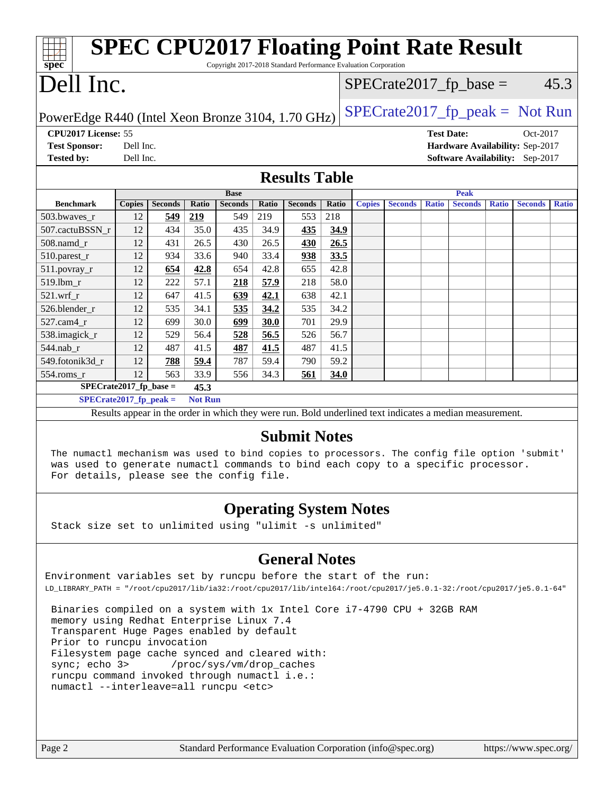| <b>SPEC CPU2017 Floating Point Rate Result</b><br>Copyright 2017-2018 Standard Performance Evaluation Corporation<br>spec |                                                      |                |       |                |       |                |       |               |                |              |                |              |                                 |              |
|---------------------------------------------------------------------------------------------------------------------------|------------------------------------------------------|----------------|-------|----------------|-------|----------------|-------|---------------|----------------|--------------|----------------|--------------|---------------------------------|--------------|
|                                                                                                                           | Dell Inc.<br>45.3<br>$SPECrate2017_fp\_base =$       |                |       |                |       |                |       |               |                |              |                |              |                                 |              |
| $SPECrate2017_fp\_peak = Not Run$<br>PowerEdge R440 (Intel Xeon Bronze 3104, 1.70 GHz)                                    |                                                      |                |       |                |       |                |       |               |                |              |                |              |                                 |              |
|                                                                                                                           | CPU2017 License: 55<br><b>Test Date:</b><br>Oct-2017 |                |       |                |       |                |       |               |                |              |                |              |                                 |              |
| <b>Test Sponsor:</b>                                                                                                      | Dell Inc.                                            |                |       |                |       |                |       |               |                |              |                |              | Hardware Availability: Sep-2017 |              |
| <b>Tested by:</b>                                                                                                         | Dell Inc.                                            |                |       |                |       |                |       |               |                |              |                |              | Software Availability: Sep-2017 |              |
| <b>Results Table</b>                                                                                                      |                                                      |                |       |                |       |                |       |               |                |              |                |              |                                 |              |
|                                                                                                                           |                                                      |                |       | <b>Base</b>    |       |                |       |               |                |              | <b>Peak</b>    |              |                                 |              |
| <b>Benchmark</b>                                                                                                          | <b>Copies</b>                                        | <b>Seconds</b> | Ratio | <b>Seconds</b> | Ratio | <b>Seconds</b> | Ratio | <b>Copies</b> | <b>Seconds</b> | <b>Ratio</b> | <b>Seconds</b> | <b>Ratio</b> | <b>Seconds</b>                  | <b>Ratio</b> |
| 503.bwaves_r                                                                                                              | 12                                                   | 549            | 219   | 549            | 219   | 553            | 218   |               |                |              |                |              |                                 |              |
| 507.cactuBSSN r                                                                                                           | 12                                                   | 434            | 35.0  | 435            | 34.9  | 435            | 34.9  |               |                |              |                |              |                                 |              |
| 508.namd_r                                                                                                                | 12                                                   | 431            | 26.5  | 430            | 26.5  | 430            | 26.5  |               |                |              |                |              |                                 |              |
| 510.parest_r                                                                                                              | 12                                                   | 934            | 33.6  | 940            | 33.4  | 938            | 33.5  |               |                |              |                |              |                                 |              |
| 511.povray_r                                                                                                              | 12                                                   | 654            | 42.8  | 654            | 42.8  | 655            | 42.8  |               |                |              |                |              |                                 |              |
| 519.lbm r                                                                                                                 | 12                                                   | 222            | 57.1  | 218            | 57.9  | 218            | 58.0  |               |                |              |                |              |                                 |              |
| $521.wrf_r$                                                                                                               | 12                                                   | 647            | 41.5  | 639            | 42.1  | 638            | 42.1  |               |                |              |                |              |                                 |              |
| 526.blender r                                                                                                             | 12                                                   | 535            | 34.1  | 535            | 34.2  | 535            | 34.2  |               |                |              |                |              |                                 |              |
| 527.cam4 r                                                                                                                | 12                                                   | 699            | 30.0  | 699            | 30.0  | 701            | 29.9  |               |                |              |                |              |                                 |              |
| 538.imagick_r                                                                                                             | 12                                                   | 529            | 56.4  | 528            | 56.5  | 526            | 56.7  |               |                |              |                |              |                                 |              |
| 544.nab_r                                                                                                                 | 12                                                   | 487            | 41.5  | 487            | 41.5  | 487            | 41.5  |               |                |              |                |              |                                 |              |
| 549.fotonik3d r                                                                                                           | 12                                                   | 788            | 59.4  | 787            | 59.4  | 790            | 59.2  |               |                |              |                |              |                                 |              |
| 554.roms_r                                                                                                                | 12                                                   | 563            | 33.9  | 556            | 34.3  | 561            | 34.0  |               |                |              |                |              |                                 |              |
|                                                                                                                           | $SPECrate2017_fp\_base =$<br>45.3                    |                |       |                |       |                |       |               |                |              |                |              |                                 |              |
| <b>Not Run</b><br>$SPECrate2017_fp\_peak =$                                                                               |                                                      |                |       |                |       |                |       |               |                |              |                |              |                                 |              |
| Results appear in the order in which they were run. Bold underlined text indicates a median measurement.                  |                                                      |                |       |                |       |                |       |               |                |              |                |              |                                 |              |
| <b>Submit Notes</b>                                                                                                       |                                                      |                |       |                |       |                |       |               |                |              |                |              |                                 |              |

 The numactl mechanism was used to bind copies to processors. The config file option 'submit' was used to generate numactl commands to bind each copy to a specific processor. For details, please see the config file.

#### **[Operating System Notes](http://www.spec.org/auto/cpu2017/Docs/result-fields.html#OperatingSystemNotes)**

Stack size set to unlimited using "ulimit -s unlimited"

#### **[General Notes](http://www.spec.org/auto/cpu2017/Docs/result-fields.html#GeneralNotes)**

Environment variables set by runcpu before the start of the run: LD\_LIBRARY\_PATH = "/root/cpu2017/lib/ia32:/root/cpu2017/lib/intel64:/root/cpu2017/je5.0.1-32:/root/cpu2017/je5.0.1-64"

 Binaries compiled on a system with 1x Intel Core i7-4790 CPU + 32GB RAM memory using Redhat Enterprise Linux 7.4 Transparent Huge Pages enabled by default Prior to runcpu invocation Filesystem page cache synced and cleared with: sync; echo 3> /proc/sys/vm/drop\_caches runcpu command invoked through numactl i.e.: numactl --interleave=all runcpu <etc>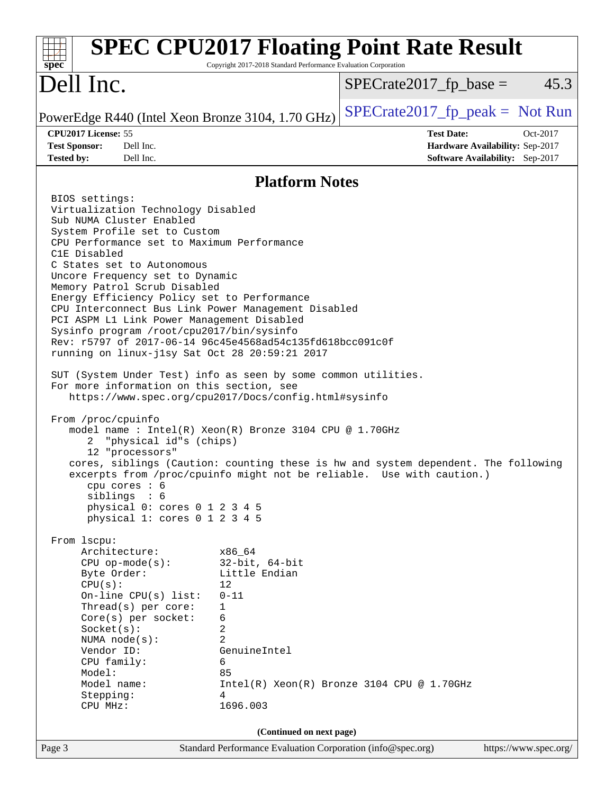| spec <sup>®</sup>                                                                                                                                                                                                                                                                                                                                                                                                                                                                                                                                                                                                                                                                                                                                                                                                                                                                                                                                                                                                                                                                                                                                                                                                                                                                                                                                                                                                                                       | Copyright 2017-2018 Standard Performance Evaluation Corporation                                                                                             | <b>SPEC CPU2017 Floating Point Rate Result</b> |                                                                                |
|---------------------------------------------------------------------------------------------------------------------------------------------------------------------------------------------------------------------------------------------------------------------------------------------------------------------------------------------------------------------------------------------------------------------------------------------------------------------------------------------------------------------------------------------------------------------------------------------------------------------------------------------------------------------------------------------------------------------------------------------------------------------------------------------------------------------------------------------------------------------------------------------------------------------------------------------------------------------------------------------------------------------------------------------------------------------------------------------------------------------------------------------------------------------------------------------------------------------------------------------------------------------------------------------------------------------------------------------------------------------------------------------------------------------------------------------------------|-------------------------------------------------------------------------------------------------------------------------------------------------------------|------------------------------------------------|--------------------------------------------------------------------------------|
| Dell Inc.                                                                                                                                                                                                                                                                                                                                                                                                                                                                                                                                                                                                                                                                                                                                                                                                                                                                                                                                                                                                                                                                                                                                                                                                                                                                                                                                                                                                                                               |                                                                                                                                                             | $SPECrate2017_fp\_base =$                      | 45.3                                                                           |
| PowerEdge R440 (Intel Xeon Bronze 3104, 1.70 GHz)                                                                                                                                                                                                                                                                                                                                                                                                                                                                                                                                                                                                                                                                                                                                                                                                                                                                                                                                                                                                                                                                                                                                                                                                                                                                                                                                                                                                       |                                                                                                                                                             | $SPECrate2017_fp\_peak = Not Run$              |                                                                                |
| CPU2017 License: 55<br><b>Test Sponsor:</b><br>Dell Inc.<br>Dell Inc.<br><b>Tested by:</b>                                                                                                                                                                                                                                                                                                                                                                                                                                                                                                                                                                                                                                                                                                                                                                                                                                                                                                                                                                                                                                                                                                                                                                                                                                                                                                                                                              |                                                                                                                                                             | <b>Test Date:</b>                              | Oct-2017<br>Hardware Availability: Sep-2017<br>Software Availability: Sep-2017 |
|                                                                                                                                                                                                                                                                                                                                                                                                                                                                                                                                                                                                                                                                                                                                                                                                                                                                                                                                                                                                                                                                                                                                                                                                                                                                                                                                                                                                                                                         | <b>Platform Notes</b>                                                                                                                                       |                                                |                                                                                |
| BIOS settings:<br>Virtualization Technology Disabled<br>Sub NUMA Cluster Enabled<br>System Profile set to Custom<br>CPU Performance set to Maximum Performance<br>C1E Disabled<br>C States set to Autonomous<br>Uncore Frequency set to Dynamic<br>Memory Patrol Scrub Disabled<br>Energy Efficiency Policy set to Performance<br>CPU Interconnect Bus Link Power Management Disabled<br>PCI ASPM L1 Link Power Management Disabled<br>Sysinfo program /root/cpu2017/bin/sysinfo<br>Rev: r5797 of 2017-06-14 96c45e4568ad54c135fd618bcc091c0f<br>running on linux-jlsy Sat Oct 28 20:59:21 2017<br>SUT (System Under Test) info as seen by some common utilities.<br>For more information on this section, see<br>https://www.spec.org/cpu2017/Docs/config.html#sysinfo<br>From /proc/cpuinfo<br>model name : Intel(R) Xeon(R) Bronze 3104 CPU @ 1.70GHz<br>"physical id"s (chips)<br>2<br>12 "processors"<br>cores, siblings (Caution: counting these is hw and system dependent. The following<br>excerpts from /proc/cpuinfo might not be reliable. Use with caution.)<br>cpu cores $: 6$<br>siblings : 6<br>physical 0: cores 0 1 2 3 4 5<br>physical 1: cores 0 1 2 3 4 5<br>From 1scpu:<br>Architecture:<br>$CPU$ op-mode( $s$ ):<br>Byte Order:<br>CPU(s):<br>On-line CPU(s) list:<br>Thread(s) per core:<br>Core(s) per socket:<br>Socket(s):<br>NUMA $node(s):$<br>Vendor ID:<br>CPU family:<br>Model:<br>Model name:<br>Stepping:<br>CPU MHz: | x86_64<br>$32$ -bit, $64$ -bit<br>Little Endian<br>12<br>$0 - 11$<br>1<br>6<br>2<br>$\overline{2}$<br>GenuineIntel<br>6<br>85<br>$\overline{4}$<br>1696.003 | $Intel(R) Xeon(R) Bronze 3104 CPU @ 1.70GHz$   |                                                                                |
| Page 3                                                                                                                                                                                                                                                                                                                                                                                                                                                                                                                                                                                                                                                                                                                                                                                                                                                                                                                                                                                                                                                                                                                                                                                                                                                                                                                                                                                                                                                  | (Continued on next page)<br>Standard Performance Evaluation Corporation (info@spec.org)                                                                     |                                                | https://www.spec.org/                                                          |
|                                                                                                                                                                                                                                                                                                                                                                                                                                                                                                                                                                                                                                                                                                                                                                                                                                                                                                                                                                                                                                                                                                                                                                                                                                                                                                                                                                                                                                                         |                                                                                                                                                             |                                                |                                                                                |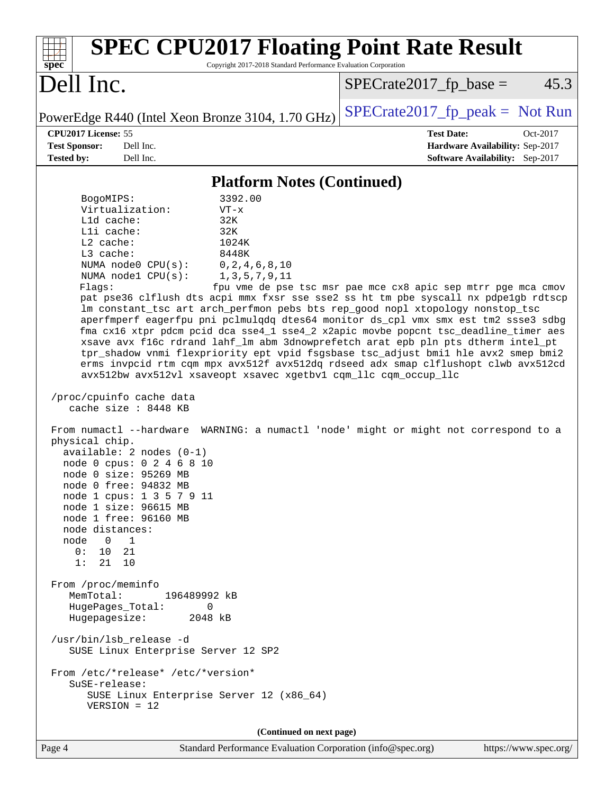| spec <sup>®</sup>                                                                                                                                                                                                                                                                                                                                                                                                                                                                                                                                                                                                                                                                                                                                                                                                                      | <b>SPEC CPU2017 Floating Point Rate Result</b><br>Copyright 2017-2018 Standard Performance Evaluation Corporation                                                                                                                                                                                                                                                                                                                                                                                                                                                                                                                                                                                                                                                                                                                                                                       |
|----------------------------------------------------------------------------------------------------------------------------------------------------------------------------------------------------------------------------------------------------------------------------------------------------------------------------------------------------------------------------------------------------------------------------------------------------------------------------------------------------------------------------------------------------------------------------------------------------------------------------------------------------------------------------------------------------------------------------------------------------------------------------------------------------------------------------------------|-----------------------------------------------------------------------------------------------------------------------------------------------------------------------------------------------------------------------------------------------------------------------------------------------------------------------------------------------------------------------------------------------------------------------------------------------------------------------------------------------------------------------------------------------------------------------------------------------------------------------------------------------------------------------------------------------------------------------------------------------------------------------------------------------------------------------------------------------------------------------------------------|
| Dell Inc.                                                                                                                                                                                                                                                                                                                                                                                                                                                                                                                                                                                                                                                                                                                                                                                                                              | $SPECrate2017_fp\_base =$<br>45.3                                                                                                                                                                                                                                                                                                                                                                                                                                                                                                                                                                                                                                                                                                                                                                                                                                                       |
| PowerEdge R440 (Intel Xeon Bronze 3104, 1.70 GHz)                                                                                                                                                                                                                                                                                                                                                                                                                                                                                                                                                                                                                                                                                                                                                                                      | $SPECrate2017_fp\_peak = Not Run$                                                                                                                                                                                                                                                                                                                                                                                                                                                                                                                                                                                                                                                                                                                                                                                                                                                       |
| CPU2017 License: 55<br><b>Test Sponsor:</b><br>Dell Inc.<br><b>Tested by:</b><br>Dell Inc.                                                                                                                                                                                                                                                                                                                                                                                                                                                                                                                                                                                                                                                                                                                                             | <b>Test Date:</b><br>Oct-2017<br>Hardware Availability: Sep-2017<br><b>Software Availability:</b> Sep-2017                                                                                                                                                                                                                                                                                                                                                                                                                                                                                                                                                                                                                                                                                                                                                                              |
|                                                                                                                                                                                                                                                                                                                                                                                                                                                                                                                                                                                                                                                                                                                                                                                                                                        | <b>Platform Notes (Continued)</b>                                                                                                                                                                                                                                                                                                                                                                                                                                                                                                                                                                                                                                                                                                                                                                                                                                                       |
| 3392.00<br>BogoMIPS:<br>Virtualization:<br>$VT - x$<br>L1d cache:<br>32K<br>Lli cache:<br>32K<br>L2 cache:<br>1024K<br>L3 cache:<br>8448K<br>NUMA node0 CPU(s):<br>NUMA nodel CPU(s):<br>Flags:<br>/proc/cpuinfo cache data<br>cache size : 8448 KB<br>physical chip.<br>available: $2$ nodes $(0-1)$<br>node 0 cpus: 0 2 4 6 8 10<br>node 0 size: 95269 MB<br>node 0 free: 94832 MB<br>node 1 cpus: 1 3 5 7 9 11<br>node 1 size: 96615 MB<br>node 1 free: 96160 MB<br>node distances:<br>node 0 1<br>0: 10.21<br>1:<br>21 10<br>From /proc/meminfo<br>MemTotal:<br>196489992 kB<br>HugePages_Total:<br>$\mathbf 0$<br>Hugepagesize:<br>2048 kB<br>/usr/bin/lsb_release -d<br>SUSE Linux Enterprise Server 12 SP2<br>From /etc/*release* /etc/*version*<br>SuSE-release:<br>SUSE Linux Enterprise Server 12 (x86_64)<br>$VERSION = 12$ | 0, 2, 4, 6, 8, 10<br>1, 3, 5, 7, 9, 11<br>fpu vme de pse tsc msr pae mce cx8 apic sep mtrr pge mca cmov<br>pat pse36 clflush dts acpi mmx fxsr sse sse2 ss ht tm pbe syscall nx pdpe1gb rdtscp<br>lm constant_tsc art arch_perfmon pebs bts rep_good nopl xtopology nonstop_tsc<br>aperfmperf eagerfpu pni pclmulqdq dtes64 monitor ds_cpl vmx smx est tm2 ssse3 sdbg<br>fma cx16 xtpr pdcm pcid dca sse4_1 sse4_2 x2apic movbe popcnt tsc_deadline_timer aes<br>xsave avx f16c rdrand lahf_lm abm 3dnowprefetch arat epb pln pts dtherm intel_pt<br>tpr_shadow vnmi flexpriority ept vpid fsgsbase tsc_adjust bmil hle avx2 smep bmi2<br>erms invpcid rtm cqm mpx avx512f avx512dq rdseed adx smap clflushopt clwb avx512cd<br>avx512bw avx512vl xsaveopt xsavec xgetbvl cqm_llc cqm_occup_llc<br>From numactl --hardware WARNING: a numactl 'node' might or might not correspond to a |
| Page 4                                                                                                                                                                                                                                                                                                                                                                                                                                                                                                                                                                                                                                                                                                                                                                                                                                 | (Continued on next page)<br>Standard Performance Evaluation Corporation (info@spec.org)<br>https://www.spec.org/                                                                                                                                                                                                                                                                                                                                                                                                                                                                                                                                                                                                                                                                                                                                                                        |
|                                                                                                                                                                                                                                                                                                                                                                                                                                                                                                                                                                                                                                                                                                                                                                                                                                        |                                                                                                                                                                                                                                                                                                                                                                                                                                                                                                                                                                                                                                                                                                                                                                                                                                                                                         |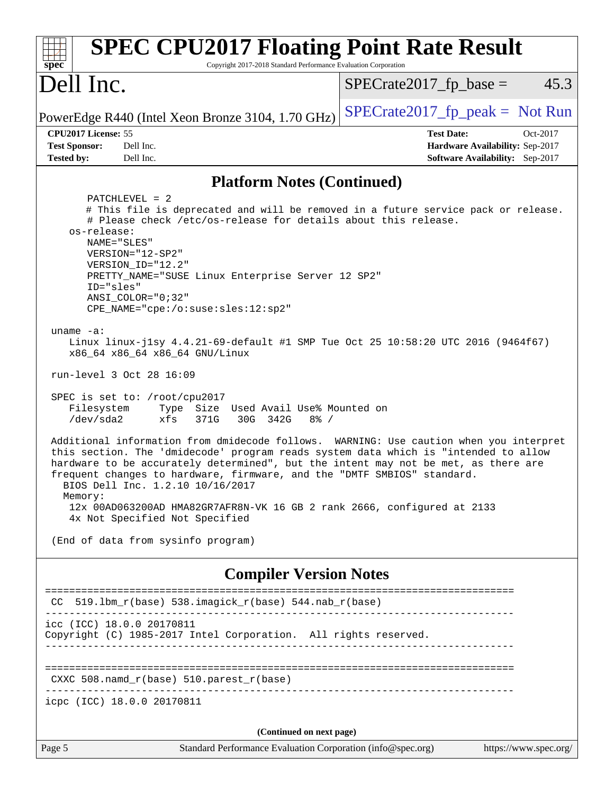| <b>SPEC CPU2017 Floating Point Rate Result</b><br>Copyright 2017-2018 Standard Performance Evaluation Corporation<br>spec®                                                                                                                                                                                                                                                                                                                                               |                                                                                                     |  |  |  |
|--------------------------------------------------------------------------------------------------------------------------------------------------------------------------------------------------------------------------------------------------------------------------------------------------------------------------------------------------------------------------------------------------------------------------------------------------------------------------|-----------------------------------------------------------------------------------------------------|--|--|--|
| Dell Inc.                                                                                                                                                                                                                                                                                                                                                                                                                                                                | 45.3<br>$SPECrate2017fp base =$                                                                     |  |  |  |
| PowerEdge R440 (Intel Xeon Bronze 3104, 1.70 GHz)                                                                                                                                                                                                                                                                                                                                                                                                                        | $SPECrate2017fr peak = Not Run$                                                                     |  |  |  |
| CPU2017 License: 55<br><b>Test Sponsor:</b><br>Dell Inc.<br>Dell Inc.<br><b>Tested by:</b>                                                                                                                                                                                                                                                                                                                                                                               | <b>Test Date:</b><br>Oct-2017<br>Hardware Availability: Sep-2017<br>Software Availability: Sep-2017 |  |  |  |
| <b>Platform Notes (Continued)</b>                                                                                                                                                                                                                                                                                                                                                                                                                                        |                                                                                                     |  |  |  |
| $PATCHLEVEL = 2$<br># This file is deprecated and will be removed in a future service pack or release.<br># Please check /etc/os-release for details about this release.<br>os-release:<br>NAME="SLES"<br>VERSION="12-SP2"<br>VERSION_ID="12.2"<br>PRETTY_NAME="SUSE Linux Enterprise Server 12 SP2"<br>ID="sles"<br>ANSI COLOR="0;32"<br>CPE_NAME="cpe:/o:suse:sles:12:sp2"                                                                                             |                                                                                                     |  |  |  |
| uname $-a$ :<br>Linux linux-j1sy 4.4.21-69-default #1 SMP Tue Oct 25 10:58:20 UTC 2016 (9464f67)<br>x86_64 x86_64 x86_64 GNU/Linux<br>run-level 3 Oct 28 16:09                                                                                                                                                                                                                                                                                                           |                                                                                                     |  |  |  |
| SPEC is set to: /root/cpu2017<br>Filesystem<br>Type<br>Size Used Avail Use% Mounted on<br>$/\text{dev/sda2}$<br>xfs<br>371G<br>30G 342G<br>$8\frac{6}{6}$ /                                                                                                                                                                                                                                                                                                              |                                                                                                     |  |  |  |
| Additional information from dmidecode follows. WARNING: Use caution when you interpret<br>this section. The 'dmidecode' program reads system data which is "intended to allow<br>hardware to be accurately determined", but the intent may not be met, as there are<br>frequent changes to hardware, firmware, and the "DMTF SMBIOS" standard.<br>BIOS Dell Inc. 1.2.10 10/16/2017<br>Memory:<br>12x 00AD063200AD HMA82GR7AFR8N-VK 16 GB 2 rank 2666, configured at 2133 |                                                                                                     |  |  |  |
| 4x Not Specified Not Specified<br>(End of data from sysinfo program)                                                                                                                                                                                                                                                                                                                                                                                                     |                                                                                                     |  |  |  |
| <b>Compiler Version Notes</b>                                                                                                                                                                                                                                                                                                                                                                                                                                            |                                                                                                     |  |  |  |
| CC 519.1bm_r(base) 538.imagick_r(base) 544.nab_r(base)                                                                                                                                                                                                                                                                                                                                                                                                                   |                                                                                                     |  |  |  |
| icc (ICC) 18.0.0 20170811<br>Copyright (C) 1985-2017 Intel Corporation. All rights reserved.                                                                                                                                                                                                                                                                                                                                                                             |                                                                                                     |  |  |  |
| CXXC 508.namd_r(base) 510.parest_r(base)                                                                                                                                                                                                                                                                                                                                                                                                                                 |                                                                                                     |  |  |  |
| icpc (ICC) 18.0.0 20170811                                                                                                                                                                                                                                                                                                                                                                                                                                               |                                                                                                     |  |  |  |
| (Continued on next page)                                                                                                                                                                                                                                                                                                                                                                                                                                                 |                                                                                                     |  |  |  |
| Page 5<br>Standard Performance Evaluation Corporation (info@spec.org)                                                                                                                                                                                                                                                                                                                                                                                                    | https://www.spec.org/                                                                               |  |  |  |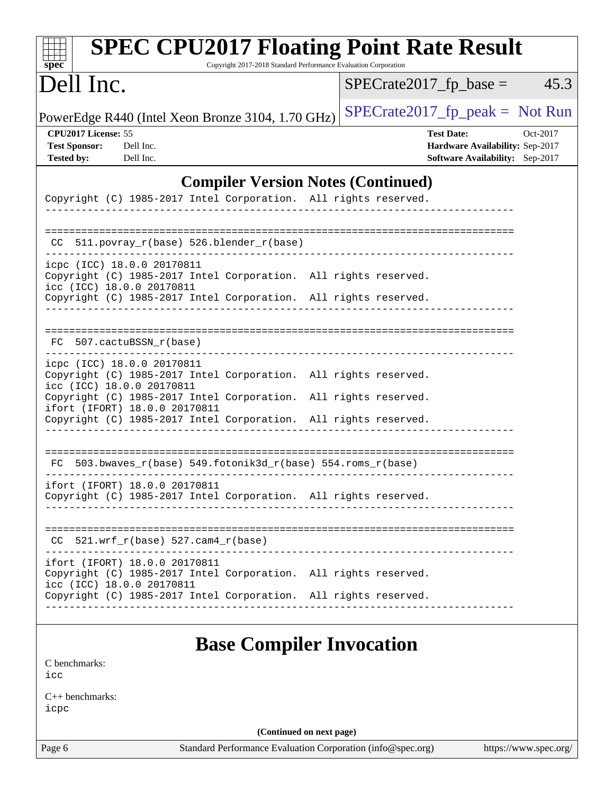| $spec^*$                                                                                                                      | <b>SPEC CPU2017 Floating Point Rate Result</b><br>Copyright 2017-2018 Standard Performance Evaluation Corporation |  |                                   |                                                                    |                       |
|-------------------------------------------------------------------------------------------------------------------------------|-------------------------------------------------------------------------------------------------------------------|--|-----------------------------------|--------------------------------------------------------------------|-----------------------|
| Dell Inc.                                                                                                                     |                                                                                                                   |  | $SPECrate2017fr base =$           |                                                                    | 45.3                  |
| PowerEdge R440 (Intel Xeon Bronze 3104, 1.70 GHz)                                                                             |                                                                                                                   |  | $SPECrate2017_fp\_peak = Not Run$ |                                                                    |                       |
| CPU2017 License: 55<br><b>Test Sponsor:</b><br>Dell Inc.<br><b>Tested by:</b><br>Dell Inc.                                    |                                                                                                                   |  | <b>Test Date:</b>                 | Hardware Availability: Sep-2017<br>Software Availability: Sep-2017 | Oct-2017              |
|                                                                                                                               | <b>Compiler Version Notes (Continued)</b>                                                                         |  |                                   |                                                                    |                       |
| Copyright (C) 1985-2017 Intel Corporation. All rights reserved.                                                               |                                                                                                                   |  |                                   |                                                                    |                       |
| 511.povray_r(base) 526.blender_r(base)<br>CC.                                                                                 |                                                                                                                   |  |                                   |                                                                    |                       |
| icpc (ICC) 18.0.0 20170811<br>Copyright (C) 1985-2017 Intel Corporation. All rights reserved.<br>icc (ICC) 18.0.0 20170811    |                                                                                                                   |  |                                   |                                                                    |                       |
| Copyright (C) 1985-2017 Intel Corporation. All rights reserved.                                                               |                                                                                                                   |  |                                   |                                                                    |                       |
| FC 507.cactuBSSN r(base)                                                                                                      |                                                                                                                   |  |                                   |                                                                    |                       |
| icpc (ICC) 18.0.0 20170811<br>Copyright (C) 1985-2017 Intel Corporation. All rights reserved.<br>icc (ICC) 18.0.0 20170811    |                                                                                                                   |  |                                   |                                                                    |                       |
| Copyright (C) 1985-2017 Intel Corporation. All rights reserved.<br>ifort (IFORT) 18.0.0 20170811                              |                                                                                                                   |  |                                   |                                                                    |                       |
| Copyright (C) 1985-2017 Intel Corporation. All rights reserved.                                                               |                                                                                                                   |  |                                   |                                                                    |                       |
| FC 503.bwaves_r(base) 549.fotonik3d_r(base) 554.roms_r(base)                                                                  |                                                                                                                   |  |                                   |                                                                    |                       |
| ifort (IFORT) 18.0.0 20170811<br>Copyright (C) 1985-2017 Intel Corporation. All rights reserved.                              |                                                                                                                   |  |                                   |                                                                    |                       |
| $CC$ 521.wrf_r(base) 527.cam4_r(base)                                                                                         |                                                                                                                   |  |                                   |                                                                    |                       |
| ifort (IFORT) 18.0.0 20170811<br>Copyright (C) 1985-2017 Intel Corporation. All rights reserved.<br>icc (ICC) 18.0.0 20170811 |                                                                                                                   |  |                                   |                                                                    |                       |
| Copyright (C) 1985-2017 Intel Corporation. All rights reserved.                                                               |                                                                                                                   |  |                                   |                                                                    |                       |
|                                                                                                                               | <b>Base Compiler Invocation</b>                                                                                   |  |                                   |                                                                    |                       |
| C benchmarks:<br>icc                                                                                                          |                                                                                                                   |  |                                   |                                                                    |                       |
| $C++$ benchmarks:<br>icpc                                                                                                     |                                                                                                                   |  |                                   |                                                                    |                       |
|                                                                                                                               | (Continued on next page)                                                                                          |  |                                   |                                                                    |                       |
| Page 6                                                                                                                        | Standard Performance Evaluation Corporation (info@spec.org)                                                       |  |                                   |                                                                    | https://www.spec.org/ |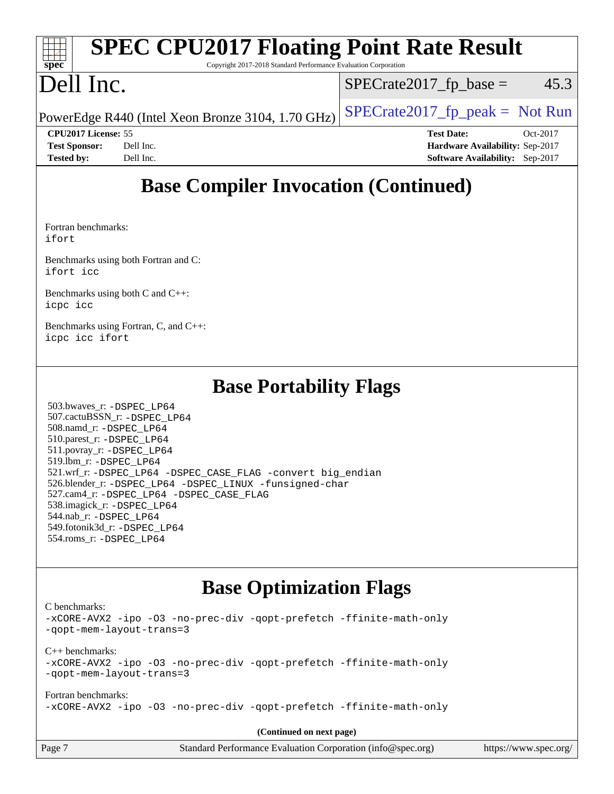| spec                       | <b>SPEC CPU2017 Floating Point Rate Result</b><br>Copyright 2017-2018 Standard Performance Evaluation Corporation |                           |                                 |            |
|----------------------------|-------------------------------------------------------------------------------------------------------------------|---------------------------|---------------------------------|------------|
| Dell Inc.                  |                                                                                                                   | $SPECrate2017_fp\_base =$ |                                 | 45.3       |
|                            | PowerEdge R440 (Intel Xeon Bronze 3104, 1.70 GHz)                                                                 |                           | $SPECTate2017fr peak = Not Run$ |            |
| <b>CPU2017 License: 55</b> |                                                                                                                   |                           | <b>Test Date:</b>               | $Oct-2017$ |
| <b>Test Sponsor:</b>       | Dell Inc.                                                                                                         |                           | Hardware Availability: Sep-2017 |            |
| <b>Tested by:</b>          | Dell Inc.                                                                                                         |                           | Software Availability: Sep-2017 |            |

# **[Base Compiler Invocation \(Continued\)](http://www.spec.org/auto/cpu2017/Docs/result-fields.html#BaseCompilerInvocation)**

[Fortran benchmarks](http://www.spec.org/auto/cpu2017/Docs/result-fields.html#Fortranbenchmarks): [ifort](http://www.spec.org/cpu2017/results/res2017q4/cpu2017-20171127-00932.flags.html#user_FCbase_intel_ifort_18.0_8111460550e3ca792625aed983ce982f94888b8b503583aa7ba2b8303487b4d8a21a13e7191a45c5fd58ff318f48f9492884d4413fa793fd88dd292cad7027ca)

[Benchmarks using both Fortran and C](http://www.spec.org/auto/cpu2017/Docs/result-fields.html#BenchmarksusingbothFortranandC): [ifort](http://www.spec.org/cpu2017/results/res2017q4/cpu2017-20171127-00932.flags.html#user_CC_FCbase_intel_ifort_18.0_8111460550e3ca792625aed983ce982f94888b8b503583aa7ba2b8303487b4d8a21a13e7191a45c5fd58ff318f48f9492884d4413fa793fd88dd292cad7027ca) [icc](http://www.spec.org/cpu2017/results/res2017q4/cpu2017-20171127-00932.flags.html#user_CC_FCbase_intel_icc_18.0_66fc1ee009f7361af1fbd72ca7dcefbb700085f36577c54f309893dd4ec40d12360134090235512931783d35fd58c0460139e722d5067c5574d8eaf2b3e37e92)

[Benchmarks using both C and C++](http://www.spec.org/auto/cpu2017/Docs/result-fields.html#BenchmarksusingbothCandCXX): [icpc](http://www.spec.org/cpu2017/results/res2017q4/cpu2017-20171127-00932.flags.html#user_CC_CXXbase_intel_icpc_18.0_c510b6838c7f56d33e37e94d029a35b4a7bccf4766a728ee175e80a419847e808290a9b78be685c44ab727ea267ec2f070ec5dc83b407c0218cded6866a35d07) [icc](http://www.spec.org/cpu2017/results/res2017q4/cpu2017-20171127-00932.flags.html#user_CC_CXXbase_intel_icc_18.0_66fc1ee009f7361af1fbd72ca7dcefbb700085f36577c54f309893dd4ec40d12360134090235512931783d35fd58c0460139e722d5067c5574d8eaf2b3e37e92)

[Benchmarks using Fortran, C, and C++:](http://www.spec.org/auto/cpu2017/Docs/result-fields.html#BenchmarksusingFortranCandCXX) [icpc](http://www.spec.org/cpu2017/results/res2017q4/cpu2017-20171127-00932.flags.html#user_CC_CXX_FCbase_intel_icpc_18.0_c510b6838c7f56d33e37e94d029a35b4a7bccf4766a728ee175e80a419847e808290a9b78be685c44ab727ea267ec2f070ec5dc83b407c0218cded6866a35d07) [icc](http://www.spec.org/cpu2017/results/res2017q4/cpu2017-20171127-00932.flags.html#user_CC_CXX_FCbase_intel_icc_18.0_66fc1ee009f7361af1fbd72ca7dcefbb700085f36577c54f309893dd4ec40d12360134090235512931783d35fd58c0460139e722d5067c5574d8eaf2b3e37e92) [ifort](http://www.spec.org/cpu2017/results/res2017q4/cpu2017-20171127-00932.flags.html#user_CC_CXX_FCbase_intel_ifort_18.0_8111460550e3ca792625aed983ce982f94888b8b503583aa7ba2b8303487b4d8a21a13e7191a45c5fd58ff318f48f9492884d4413fa793fd88dd292cad7027ca)

### **[Base Portability Flags](http://www.spec.org/auto/cpu2017/Docs/result-fields.html#BasePortabilityFlags)**

 503.bwaves\_r: [-DSPEC\\_LP64](http://www.spec.org/cpu2017/results/res2017q4/cpu2017-20171127-00932.flags.html#suite_basePORTABILITY503_bwaves_r_DSPEC_LP64) 507.cactuBSSN\_r: [-DSPEC\\_LP64](http://www.spec.org/cpu2017/results/res2017q4/cpu2017-20171127-00932.flags.html#suite_basePORTABILITY507_cactuBSSN_r_DSPEC_LP64) 508.namd\_r: [-DSPEC\\_LP64](http://www.spec.org/cpu2017/results/res2017q4/cpu2017-20171127-00932.flags.html#suite_basePORTABILITY508_namd_r_DSPEC_LP64) 510.parest\_r: [-DSPEC\\_LP64](http://www.spec.org/cpu2017/results/res2017q4/cpu2017-20171127-00932.flags.html#suite_basePORTABILITY510_parest_r_DSPEC_LP64) 511.povray\_r: [-DSPEC\\_LP64](http://www.spec.org/cpu2017/results/res2017q4/cpu2017-20171127-00932.flags.html#suite_basePORTABILITY511_povray_r_DSPEC_LP64) 519.lbm\_r: [-DSPEC\\_LP64](http://www.spec.org/cpu2017/results/res2017q4/cpu2017-20171127-00932.flags.html#suite_basePORTABILITY519_lbm_r_DSPEC_LP64) 521.wrf\_r: [-DSPEC\\_LP64](http://www.spec.org/cpu2017/results/res2017q4/cpu2017-20171127-00932.flags.html#suite_basePORTABILITY521_wrf_r_DSPEC_LP64) [-DSPEC\\_CASE\\_FLAG](http://www.spec.org/cpu2017/results/res2017q4/cpu2017-20171127-00932.flags.html#b521.wrf_r_baseCPORTABILITY_DSPEC_CASE_FLAG) [-convert big\\_endian](http://www.spec.org/cpu2017/results/res2017q4/cpu2017-20171127-00932.flags.html#user_baseFPORTABILITY521_wrf_r_convert_big_endian_c3194028bc08c63ac5d04de18c48ce6d347e4e562e8892b8bdbdc0214820426deb8554edfa529a3fb25a586e65a3d812c835984020483e7e73212c4d31a38223) 526.blender\_r: [-DSPEC\\_LP64](http://www.spec.org/cpu2017/results/res2017q4/cpu2017-20171127-00932.flags.html#suite_basePORTABILITY526_blender_r_DSPEC_LP64) [-DSPEC\\_LINUX](http://www.spec.org/cpu2017/results/res2017q4/cpu2017-20171127-00932.flags.html#b526.blender_r_baseCPORTABILITY_DSPEC_LINUX) [-funsigned-char](http://www.spec.org/cpu2017/results/res2017q4/cpu2017-20171127-00932.flags.html#user_baseCPORTABILITY526_blender_r_force_uchar_40c60f00ab013830e2dd6774aeded3ff59883ba5a1fc5fc14077f794d777847726e2a5858cbc7672e36e1b067e7e5c1d9a74f7176df07886a243d7cc18edfe67) 527.cam4\_r: [-DSPEC\\_LP64](http://www.spec.org/cpu2017/results/res2017q4/cpu2017-20171127-00932.flags.html#suite_basePORTABILITY527_cam4_r_DSPEC_LP64) [-DSPEC\\_CASE\\_FLAG](http://www.spec.org/cpu2017/results/res2017q4/cpu2017-20171127-00932.flags.html#b527.cam4_r_baseCPORTABILITY_DSPEC_CASE_FLAG) 538.imagick\_r: [-DSPEC\\_LP64](http://www.spec.org/cpu2017/results/res2017q4/cpu2017-20171127-00932.flags.html#suite_basePORTABILITY538_imagick_r_DSPEC_LP64) 544.nab\_r: [-DSPEC\\_LP64](http://www.spec.org/cpu2017/results/res2017q4/cpu2017-20171127-00932.flags.html#suite_basePORTABILITY544_nab_r_DSPEC_LP64) 549.fotonik3d\_r: [-DSPEC\\_LP64](http://www.spec.org/cpu2017/results/res2017q4/cpu2017-20171127-00932.flags.html#suite_basePORTABILITY549_fotonik3d_r_DSPEC_LP64) 554.roms\_r: [-DSPEC\\_LP64](http://www.spec.org/cpu2017/results/res2017q4/cpu2017-20171127-00932.flags.html#suite_basePORTABILITY554_roms_r_DSPEC_LP64)

# **[Base Optimization Flags](http://www.spec.org/auto/cpu2017/Docs/result-fields.html#BaseOptimizationFlags)**

[C benchmarks](http://www.spec.org/auto/cpu2017/Docs/result-fields.html#Cbenchmarks):

[-xCORE-AVX2](http://www.spec.org/cpu2017/results/res2017q4/cpu2017-20171127-00932.flags.html#user_CCbase_f-xCORE-AVX2) [-ipo](http://www.spec.org/cpu2017/results/res2017q4/cpu2017-20171127-00932.flags.html#user_CCbase_f-ipo) [-O3](http://www.spec.org/cpu2017/results/res2017q4/cpu2017-20171127-00932.flags.html#user_CCbase_f-O3) [-no-prec-div](http://www.spec.org/cpu2017/results/res2017q4/cpu2017-20171127-00932.flags.html#user_CCbase_f-no-prec-div) [-qopt-prefetch](http://www.spec.org/cpu2017/results/res2017q4/cpu2017-20171127-00932.flags.html#user_CCbase_f-qopt-prefetch) [-ffinite-math-only](http://www.spec.org/cpu2017/results/res2017q4/cpu2017-20171127-00932.flags.html#user_CCbase_f_finite_math_only_cb91587bd2077682c4b38af759c288ed7c732db004271a9512da14a4f8007909a5f1427ecbf1a0fb78ff2a814402c6114ac565ca162485bbcae155b5e4258871) [-qopt-mem-layout-trans=3](http://www.spec.org/cpu2017/results/res2017q4/cpu2017-20171127-00932.flags.html#user_CCbase_f-qopt-mem-layout-trans_de80db37974c74b1f0e20d883f0b675c88c3b01e9d123adea9b28688d64333345fb62bc4a798493513fdb68f60282f9a726aa07f478b2f7113531aecce732043) [C++ benchmarks:](http://www.spec.org/auto/cpu2017/Docs/result-fields.html#CXXbenchmarks) [-xCORE-AVX2](http://www.spec.org/cpu2017/results/res2017q4/cpu2017-20171127-00932.flags.html#user_CXXbase_f-xCORE-AVX2) [-ipo](http://www.spec.org/cpu2017/results/res2017q4/cpu2017-20171127-00932.flags.html#user_CXXbase_f-ipo) [-O3](http://www.spec.org/cpu2017/results/res2017q4/cpu2017-20171127-00932.flags.html#user_CXXbase_f-O3) [-no-prec-div](http://www.spec.org/cpu2017/results/res2017q4/cpu2017-20171127-00932.flags.html#user_CXXbase_f-no-prec-div) [-qopt-prefetch](http://www.spec.org/cpu2017/results/res2017q4/cpu2017-20171127-00932.flags.html#user_CXXbase_f-qopt-prefetch) [-ffinite-math-only](http://www.spec.org/cpu2017/results/res2017q4/cpu2017-20171127-00932.flags.html#user_CXXbase_f_finite_math_only_cb91587bd2077682c4b38af759c288ed7c732db004271a9512da14a4f8007909a5f1427ecbf1a0fb78ff2a814402c6114ac565ca162485bbcae155b5e4258871) [-qopt-mem-layout-trans=3](http://www.spec.org/cpu2017/results/res2017q4/cpu2017-20171127-00932.flags.html#user_CXXbase_f-qopt-mem-layout-trans_de80db37974c74b1f0e20d883f0b675c88c3b01e9d123adea9b28688d64333345fb62bc4a798493513fdb68f60282f9a726aa07f478b2f7113531aecce732043) [Fortran benchmarks](http://www.spec.org/auto/cpu2017/Docs/result-fields.html#Fortranbenchmarks): [-xCORE-AVX2](http://www.spec.org/cpu2017/results/res2017q4/cpu2017-20171127-00932.flags.html#user_FCbase_f-xCORE-AVX2) [-ipo](http://www.spec.org/cpu2017/results/res2017q4/cpu2017-20171127-00932.flags.html#user_FCbase_f-ipo) [-O3](http://www.spec.org/cpu2017/results/res2017q4/cpu2017-20171127-00932.flags.html#user_FCbase_f-O3) [-no-prec-div](http://www.spec.org/cpu2017/results/res2017q4/cpu2017-20171127-00932.flags.html#user_FCbase_f-no-prec-div) [-qopt-prefetch](http://www.spec.org/cpu2017/results/res2017q4/cpu2017-20171127-00932.flags.html#user_FCbase_f-qopt-prefetch) [-ffinite-math-only](http://www.spec.org/cpu2017/results/res2017q4/cpu2017-20171127-00932.flags.html#user_FCbase_f_finite_math_only_cb91587bd2077682c4b38af759c288ed7c732db004271a9512da14a4f8007909a5f1427ecbf1a0fb78ff2a814402c6114ac565ca162485bbcae155b5e4258871)

**(Continued on next page)**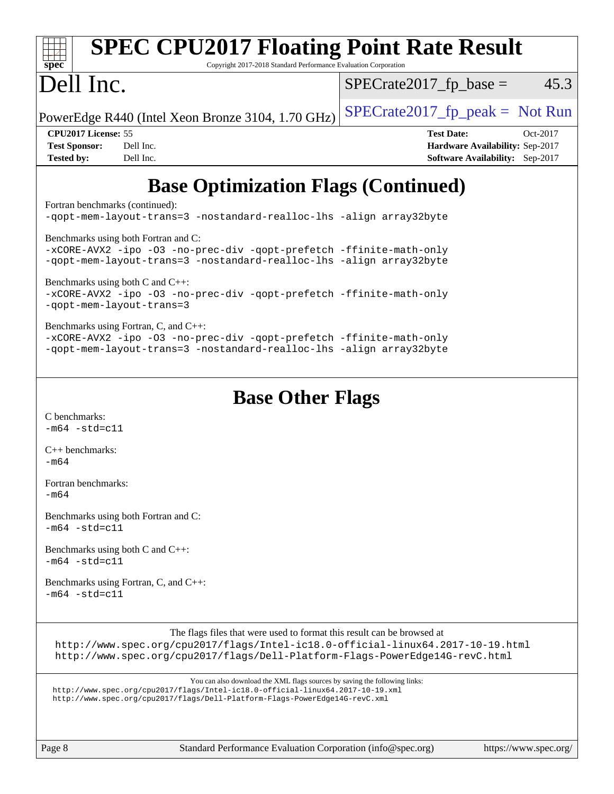| <b>SPEC CPU2017 Floating Point Rate Result</b><br>Copyright 2017-2018 Standard Performance Evaluation Corporation<br>spec <sup>®</sup>                                                                                                      |                                                                                                            |
|---------------------------------------------------------------------------------------------------------------------------------------------------------------------------------------------------------------------------------------------|------------------------------------------------------------------------------------------------------------|
| Dell Inc.                                                                                                                                                                                                                                   | $SPECrate2017_fp\_base =$<br>45.3                                                                          |
| PowerEdge R440 (Intel Xeon Bronze 3104, 1.70 GHz)                                                                                                                                                                                           | $SPECrate2017_fp\_peak = Not Run$                                                                          |
| CPU2017 License: 55<br><b>Test Sponsor:</b><br>Dell Inc.<br><b>Tested by:</b><br>Dell Inc.                                                                                                                                                  | <b>Test Date:</b><br>Oct-2017<br>Hardware Availability: Sep-2017<br><b>Software Availability:</b> Sep-2017 |
| <b>Base Optimization Flags (Continued)</b>                                                                                                                                                                                                  |                                                                                                            |
| Fortran benchmarks (continued):<br>-qopt-mem-layout-trans=3 -nostandard-realloc-lhs -align array32byte                                                                                                                                      |                                                                                                            |
| Benchmarks using both Fortran and C:<br>-xCORE-AVX2 -ipo -03 -no-prec-div -qopt-prefetch -ffinite-math-only<br>-qopt-mem-layout-trans=3 -nostandard-realloc-lhs -align array32byte                                                          |                                                                                                            |
| Benchmarks using both C and C++:<br>-xCORE-AVX2 -ipo -03 -no-prec-div -qopt-prefetch -ffinite-math-only<br>-qopt-mem-layout-trans=3                                                                                                         |                                                                                                            |
| Benchmarks using Fortran, C, and C++:<br>-xCORE-AVX2 -ipo -03 -no-prec-div -qopt-prefetch -ffinite-math-only<br>-qopt-mem-layout-trans=3 -nostandard-realloc-lhs -align array32byte                                                         |                                                                                                            |
| <b>Base Other Flags</b><br>C benchmarks:                                                                                                                                                                                                    |                                                                                                            |
| $-m64 - std= c11$                                                                                                                                                                                                                           |                                                                                                            |
| $C_{++}$ benchmarks:<br>$-m64$                                                                                                                                                                                                              |                                                                                                            |
| Fortran benchmarks:<br>-m64                                                                                                                                                                                                                 |                                                                                                            |
| Benchmarks using both Fortran and C:<br>$-m64 - std= c11$                                                                                                                                                                                   |                                                                                                            |
| Benchmarks using both C and C++:<br>$-m64 - std= c11$                                                                                                                                                                                       |                                                                                                            |
| Benchmarks using Fortran, C, and C++:<br>$-m64 - std= c11$                                                                                                                                                                                  |                                                                                                            |
| The flags files that were used to format this result can be browsed at<br>http://www.spec.org/cpu2017/flags/Intel-ic18.0-official-linux64.2017-10-19.html<br>http://www.spec.org/cpu2017/flags/Dell-Platform-Flags-PowerEdge14G-revC.html   |                                                                                                            |
| You can also download the XML flags sources by saving the following links:<br>http://www.spec.org/cpu2017/flags/Intel-ic18.0-official-linux64.2017-10-19.xml<br>http://www.spec.org/cpu2017/flags/Dell-Platform-Flags-PowerEdge14G-revC.xml |                                                                                                            |
|                                                                                                                                                                                                                                             |                                                                                                            |

Page 8 Standard Performance Evaluation Corporation [\(info@spec.org\)](mailto:info@spec.org) <https://www.spec.org/>